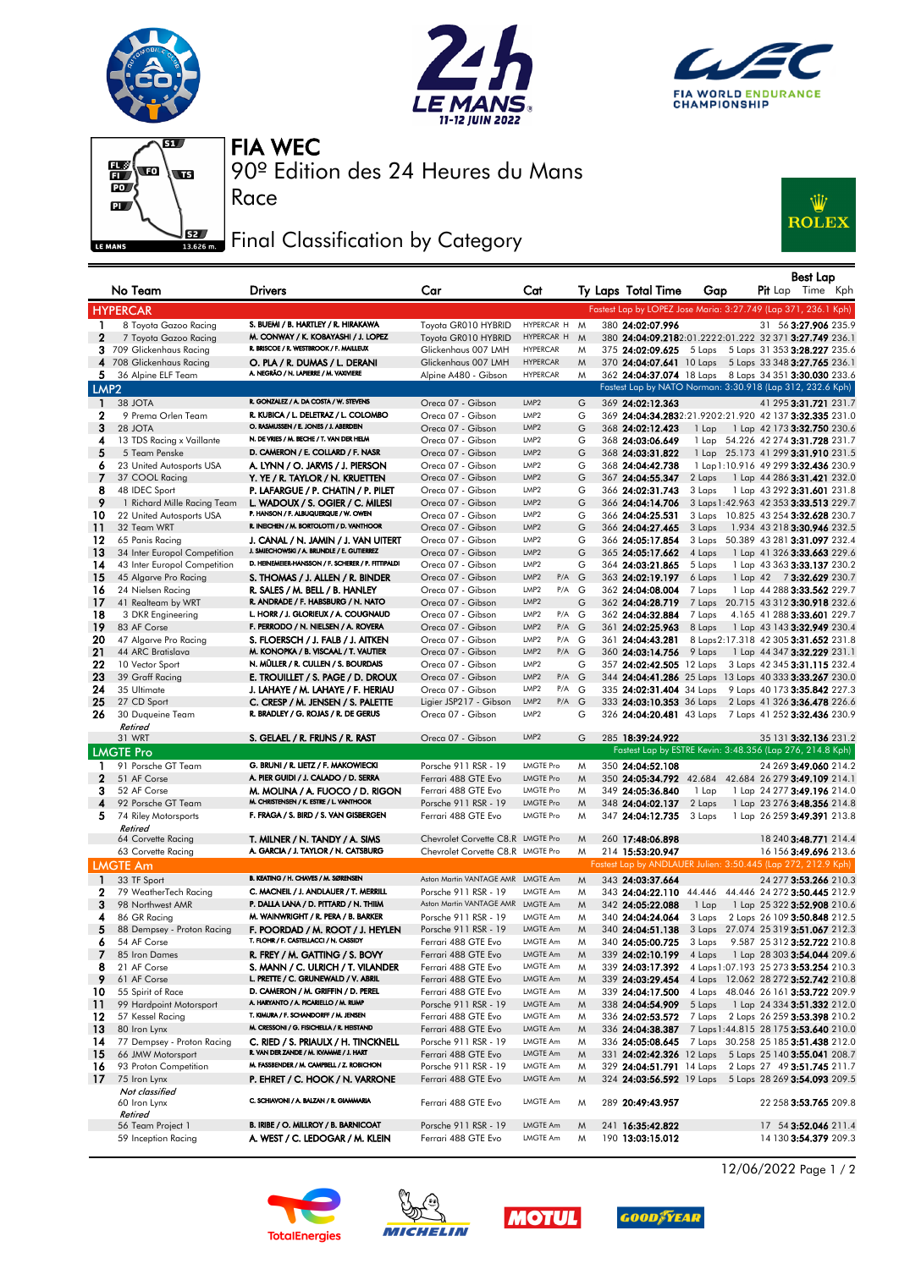







Race

90º Edition des 24 Heures du Mans FIA WEC

## **FEZE** Final Classification by Category



|                  | No Team                                                      | <b>Drivers</b>                                                                    | Car                                         | Cat                                        |             | Ty Laps Total Time                   | Gap              | Best Lap<br><b>Pit</b> Lap Time Kph                                                    |
|------------------|--------------------------------------------------------------|-----------------------------------------------------------------------------------|---------------------------------------------|--------------------------------------------|-------------|--------------------------------------|------------------|----------------------------------------------------------------------------------------|
|                  | <b>HYPERCAR</b>                                              |                                                                                   |                                             |                                            |             |                                      |                  | Fastest Lap by LOPEZ Jose Maria: 3:27.749 (Lap 371, 236.1 Kph)                         |
| $\mathbf{1}$     | 8 Toyota Gazoo Racing                                        | S. BUEMI / B. HARTLEY / R. HIRAKAWA                                               | Toyota GR010 HYBRID                         | HYPERCAR H M                               |             | 380 24:02:07.996                     |                  | 31 56 3:27.906 235.9                                                                   |
| $\mathbf{2}$     | 7 Toyota Gazoo Racing                                        | M. CONWAY / K. KOBAYASHI / J. LOPEZ                                               | Toyota GR010 HYBRID                         | HYPERCAR H                                 | $M_{\odot}$ |                                      |                  | 380 24:04:09.2182:01.2222:01.222 32 371 3:27.749 236.1                                 |
|                  | 3 709 Glickenhaus Racing                                     | R. BRISCOE / R. WESTBROOK / F. MAILLEUX                                           | Glickenhaus 007 LMH                         | <b>HYPERCAR</b>                            | M           |                                      |                  | 375 24:02:09.625 5 Laps 5 Laps 31 353 3:28.227 235.6                                   |
| 4                | 708 Glickenhaus Racing                                       | O. PLA / R. DUMAS / L. DERANI                                                     | Glickenhaus 007 LMH                         | <b>HYPERCAR</b>                            | M           |                                      |                  | 370 24:04:07.641 10 Laps 5 Laps 33 348 3:27.765 236.1                                  |
| 5.               | 36 Alpine ELF Team                                           | A. NEGRÃO / N. LAPIERRE / M. VAXIVIERE                                            | Alpine A480 - Gibson                        | <b>HYPERCAR</b>                            | M           |                                      |                  | 362 24:04:37.074 18 Laps 8 Laps 34 351 3:30.030 233.6                                  |
| LMP <sub>2</sub> |                                                              |                                                                                   |                                             |                                            |             |                                      |                  | Fastest Lap by NATO Norman: 3:30.918 (Lap 312, 232.6 Kph)                              |
| -1               | 38 JOTA                                                      | R. GONZALEZ / A. DA COSTA / W. STEVENS                                            | Oreca 07 - Gibson                           | LMP <sub>2</sub>                           | G           | 369 24:02:12.363                     |                  | 41 295 3:31.721 231.7                                                                  |
| $\mathbf{2}$     | 9 Prema Orlen Team                                           | R. KUBICA / L. DELETRAZ / L. COLOMBO<br>O. RASMUSSEN / E. JONES / J. ABERDEIN     | Oreca 07 - Gibson                           | LMP <sub>2</sub>                           | G           |                                      |                  | 369 24:04:34.2832:21.9202:21.920 42 137 3:32.335 231.0                                 |
| 3<br>4           | 28 JOTA                                                      | N. DE VRIES / M. BECHE / T. VAN DER HELM                                          | Oreca 07 - Gibson                           | LMP <sub>2</sub><br>LMP <sub>2</sub>       | G<br>G      | 368 24:02:12.423                     | 1 Lap            | 1 Lap 42 173 3:32.750 230.6                                                            |
| 5                | 13 TDS Racing x Vaillante<br>5 Team Penske                   | D. CAMERON / E. COLLARD / F. NASR                                                 | Oreca 07 - Gibson<br>Oreca 07 - Gibson      | LMP2                                       | G           | 368 24:03:06.649<br>368 24:03:31.822 |                  | 1 Lap 54.226 42 274 3:31.728 231.7<br>1 Lap 25.173 41 299 3:31.910 231.5               |
| 6                | 23 United Autosports USA                                     | A. LYNN / O. JARVIS / J. PIERSON                                                  | Oreca 07 - Gibson                           | LMP <sub>2</sub>                           | G           | 368 24:04:42.738                     |                  | 1 Lap 1:10.916 49 299 3:32.436 230.9                                                   |
| 7                | 37 COOL Racing                                               | Y. YE / R. TAYLOR / N. KRUETTEN                                                   | Oreca 07 - Gibson                           | LMP <sub>2</sub>                           | G           | 367 24:04:55.347                     | 2 Laps           | 1 Lap 44 286 3:31.421 232.0                                                            |
| 8                | 48 IDEC Sport                                                | P. LAFARGUE / P. CHATIN / P. PILET                                                | Oreca 07 - Gibson                           | LMP2                                       | G           | 366 24:02:31.743                     | 3 Laps           | 1 Lap 43 292 3:31.601 231.8                                                            |
| 9                | 1 Richard Mille Racing Team                                  | L. WADOUX / S. OGIER / C. MILESI                                                  | Oreca 07 - Gibson                           | LMP <sub>2</sub>                           | G           | 366 24:04:14.706                     |                  | 3 Laps 1:42.963 42 353 3:33.513 229.7                                                  |
| 10               | 22 United Autosports USA                                     | P. HANSON / F. ALBUQUERQUE / W. OWEN                                              | Oreca 07 - Gibson                           | LMP <sub>2</sub>                           | G           | 366 24:04:25.531                     |                  | 3 Laps 10.825 43 254 3:32.628 230.7                                                    |
| 11               | 32 Team WRT                                                  | R. INEICHEN / M. BORTOLOTTI / D. VANTHOOR                                         | Oreca 07 - Gibson                           | LMP2                                       | G           | 366 24:04:27.465                     | 3 Laps           | 1.934 43 218 3:30.946 232.5                                                            |
| 12               | 65 Panis Racing                                              | J. CANAL / N. JAMIN / J. VAN UITERT<br>J. SMIECHOWSKI / A. BRUNDLE / E. GUTIERREZ | Oreca 07 - Gibson<br>Oreca 07 - Gibson      | LMP2<br>LMP2                               | G           | 366 24:05:17.854                     |                  | 3 Laps 50.389 43 281 3:31.097 232.4                                                    |
| 13<br>14         | 34 Inter Europol Competition<br>43 Inter Europol Competition | D. HEINEMEIER-HANSSON / F. SCHERER / P. FITTIPALDI                                | Oreca 07 - Gibson                           | LMP <sub>2</sub>                           | G<br>G      | 365 24:05:17.662<br>364 24:03:21.865 | 4 Laps<br>5 Laps | 1 Lap 41 326 3:33.663 229.6<br>1 Lap 43 363 3:33.137 230.2                             |
| 15               | 45 Algarve Pro Racing                                        | S. THOMAS / J. ALLEN / R. BINDER                                                  | Oreca 07 - Gibson                           | LMP <sub>2</sub><br>$P/A$ G                |             | 363 24:02:19.197                     | 6 Laps           | 1 Lap 42 73:32.629 230.7                                                               |
| 16               | 24 Nielsen Racing                                            | R. SALES / M. BELL / B. HANLEY                                                    | Oreca 07 - Gibson                           | LMP2<br>$P/A$ G                            |             | 362 24:04:08.004                     | 7 Laps           | 1 Lap 44 288 3:33.562 229.7                                                            |
| 17               | 41 Realteam by WRT                                           | R. ANDRADE / F. HABSBURG / N. NATO                                                | Oreca 07 - Gibson                           | LMP <sub>2</sub>                           | G           | 362 24:04:28.719                     |                  | 7 Laps 20.715 43 312 3:30.918 232.6                                                    |
| 18               | 3 DKR Engineering                                            | L. HORR / J. GLORIEUX / A. COUGNAUD                                               | Oreca 07 - Gibson                           | LMP2<br>P/A G                              |             | 362 24:04:32.884                     | 7 Laps           | 4.165 41 288 3:33.601 229.7                                                            |
| 19               | 83 AF Corse                                                  | F. PERRODO / N. NIELSEN / A. ROVERA                                               | Oreca 07 - Gibson                           | $P/A$ G<br>LMP <sub>2</sub>                |             | 361 24:02:25.963                     | 8 Laps           | 1 Lap 43 143 3:32.949 230.4                                                            |
| 20               | 47 Algarve Pro Racing                                        | S. FLOERSCH / J. FALB / J. AITKEN                                                 | Oreca 07 - Gibson                           | LMP2<br>P/A G                              |             | 361 24:04:43.281                     |                  | 8 Laps 2:17.318 42 305 3:31.652 231.8                                                  |
| 21               | 44 ARC Bratislava                                            | M. KONOPKA / B. VISCAAL / T. VAUTIER                                              | Oreca 07 - Gibson                           | LMP2<br>P/A G                              |             | 360 24:03:14.756                     | 9 Laps           | 1 Lap 44 347 3:32.229 231.1                                                            |
| 22               | 10 Vector Sport                                              | N. MÜLLER / R. CULLEN / S. BOURDAIS                                               | Oreca 07 - Gibson                           | LMP <sub>2</sub>                           | G           | 357 24:02:42.505 12 Laps             |                  | 3 Laps 42 345 3:31.115 232.4                                                           |
| 23<br>24         | 39 Graff Racing<br>35 Ultimate                               | E. TROUILLET / S. PAGE / D. DROUX<br>J. LAHAYE / M. LAHAYE / F. HERIAU            | Oreca 07 - Gibson<br>Oreca 07 - Gibson      | LMP <sub>2</sub><br>P/A G<br>LMP2<br>P/A G |             | 335 24:02:31.404 34 Laps             |                  | 344 24:04:41.286 25 Laps 13 Laps 40 333 3:33.267 230.0<br>9 Laps 40 173 3:35.842 227.3 |
| 25               | 27 CD Sport                                                  | C. CRESP / M. JENSEN / S. PALETTE                                                 | Ligier JSP217 - Gibson                      | LMP2<br>P/A G                              |             | 333 24:03:10.353 36 Laps             |                  | 2 Laps 41 326 3:36.478 226.6                                                           |
| 26               | 30 Duqueine Team                                             | R. BRADLEY / G. ROJAS / R. DE GERUS                                               | Oreca 07 - Gibson                           | LMP <sub>2</sub>                           | G           |                                      |                  | 326 24:04:20.481 43 Laps 7 Laps 41 252 3:32.436 230.9                                  |
|                  | Retired                                                      |                                                                                   |                                             |                                            |             |                                      |                  |                                                                                        |
|                  | 31 WRT                                                       | S. GELAEL / R. FRIJNS / R. RAST                                                   | Oreca 07 - Gibson                           | LMP <sub>2</sub>                           | G           | 285 18:39:24.922                     |                  | 35 131 3:32.136 231.2                                                                  |
|                  | <b>LMGTE Pro</b>                                             |                                                                                   |                                             |                                            |             |                                      |                  | Fastest Lap by ESTRE Kevin: 3:48.356 (Lap 276, 214.8 Kph)                              |
| 1                | 91 Porsche GT Team                                           | G. BRUNI / R. LIETZ / F. MAKOWIECKI                                               | Porsche 911 RSR - 19                        | <b>LMGTE Pro</b>                           | M           | 350 24:04:52.108                     |                  | 24 269 3:49.060 214.2                                                                  |
| $\mathbf{2}$     | 51 AF Corse                                                  | A. PIER GUIDI / J. CALADO / D. SERRA                                              | Ferrari 488 GTE Evo                         | <b>LMGTE Pro</b>                           | M           | 350 24:05:34.792 42.684              |                  | 42.684 26 279 3:49.109 214.1                                                           |
| 3                | 52 AF Corse                                                  | M. MOLINA / A. FUOCO / D. RIGON<br>M. CHRISTENSEN / K. ESTRE / L. VANTHOOR        | Ferrari 488 GTE Evo                         | <b>LMGTE Pro</b>                           | M           | 349 24:05:36.840                     | 1 Lap            | 1 Lap 24 277 3:49.196 214.0                                                            |
| 4<br>5           | 92 Porsche GT Team                                           | F. FRAGA / S. BIRD / S. VAN GISBERGEN                                             | Porsche 911 RSR - 19<br>Ferrari 488 GTE Evo | <b>LMGTE Pro</b><br><b>LMGTE Pro</b>       | M<br>M      | 348 24:04:02.137                     | 2 Laps           | 1 Lap 23 276 3:48.356 214.8<br>1 Lap 26 259 3:49.391 213.8                             |
|                  | 74 Riley Motorsports<br>Retired                              |                                                                                   |                                             |                                            |             | 347 24:04:12.735                     | 3 Laps           |                                                                                        |
|                  | 64 Corvette Racing                                           | T. MILNER / N. TANDY / A. SIMS                                                    | Chevrolet Corvette C8.R LMGTE Pro           |                                            | M           | 260 17:48:06.898                     |                  | 18 240 3:48.771 214.4                                                                  |
|                  | 63 Corvette Racing                                           | A. GARCIA / J. TAYLOR / N. CATSBURG                                               | Chevrolet Corvette C8.R LMGTE Pro           |                                            | M           | 214 15:53:20.947                     |                  | 16 156 3:49.696 213.6                                                                  |
|                  | <b>LMGTE Am</b>                                              |                                                                                   |                                             |                                            |             |                                      |                  | Fastest Lap by ANDLAUER Julien: 3:50.445 (Lap 272, 212.9 Kph)                          |
| -1               | 33 TF Sport                                                  | B. KEATING / H. CHAVES / M. SØRENSEN                                              | Aston Martin VANTAGE AMR LMGTE Am           |                                            | M           | 343 24:03:37.664                     |                  | 24 277 3:53.266 210.3                                                                  |
| 2                | 79 WeatherTech Racing                                        | C. MACNEIL / J. ANDLAUER / T. MERRILL                                             | Porsche 911 RSR - 19                        | LMGTE Am                                   | M           |                                      |                  | 343 24:04:22.110 44.446 44.446 24 272 3:50.445 212.9                                   |
| 3                | 98 Northwest AMR                                             | P. DALLA LANA / D. PITTARD / N. THIIM                                             | Aston Martin VANTAGE AMR LMGTE Am           |                                            | M           | 342 24:05:22.088                     | 1 Lap            | 1 Lap 25 322 3:52.908 210.6                                                            |
| 4                | 86 GR Racing                                                 | M. WAINWRIGHT / R. PERA / B. BARKER                                               | Porsche 911 RSR - 19                        | LMGTE Am                                   | M           | 340 24:04:24.064                     | 3 Laps           | 2 Laps 26 109 3:50.848 212.5                                                           |
| 5                | 88 Dempsey - Proton Racing                                   | F. POORDAD / M. ROOT / J. HEYLEN<br>T. FLOHR / F. CASTELLACCI / N. CASSIDY        | Porsche 911 RSR - 19                        | <b>LMGTE Am</b>                            | $M_{\odot}$ | 340 24:04:51.138                     |                  | 3 Laps 27.074 25 319 3:51.067 212.3                                                    |
| 6                | 54 AF Corse                                                  |                                                                                   | Ferrari 488 GTE Evo                         | LMGTE Am                                   | M           | 340 24:05:00.725                     | 3 Laps           | 9.587 25 312 3:52.722 210.8                                                            |
| 7<br>8           | 85 Iron Dames<br>21 AF Corse                                 | R. FREY / M. GATTING / S. BOVY<br>S. MANN / C. ULRICH / T. VILANDER               | Ferrari 488 GTE Evo<br>Ferrari 488 GTE Evo  | LMGTE Am<br>LMGTE Am                       | M<br>M      | 339 24:02:10.199<br>339 24:03:17.392 | 4 Laps           | 1 Lap 28 303 3:54.044 209.6<br>4 Laps 1:07.193 25 273 3:53.254 210.3                   |
| 9                | 61 AF Corse                                                  | L. PRETTE / C. GRUNEWALD / V. ABRIL                                               | Ferrari 488 GTE Evo                         | LMGTE Am                                   | M           | 339 24:03:29.454                     |                  | 4 Laps 12.062 28 272 3:52.742 210.8                                                    |
| 10               | 55 Spirit of Race                                            | D. CAMERON / M. GRIFFIN / D. PEREL                                                | Ferrari 488 GTE Evo                         | LMGTE Am                                   | M           | 339 24:04:17.500                     |                  | 4 Laps 48.046 26 161 3:53.722 209.9                                                    |
| 11               | 99 Hardpoint Motorsport                                      | A. HARYANTO / A. PICARIELLO / M. RUMP                                             | Porsche 911 RSR - 19                        | LMGTE Am                                   | M           | 338 24:04:54.909                     | 5 Laps           | 1 Lap 24 334 3:51.332 212.0                                                            |
| 12               | 57 Kessel Racing                                             | T. KIMURA / F. SCHANDORFF / M. JENSEN                                             | Ferrari 488 GTE Evo                         | LMGTE Am                                   | M           | 336 24:02:53.572                     |                  | 7 Laps 2 Laps 26 259 3:53.398 210.2                                                    |
| 13               | 80 Iron Lynx                                                 | M. CRESSONI / G. FISICHELLA / R. HEISTAND                                         | Ferrari 488 GTE Evo                         | LMGTE Am                                   | M           | 336 24:04:38.387                     |                  | 7 Laps 1:44.815 28 175 3:53.640 210.0                                                  |
| 14               | 77 Dempsey - Proton Racing                                   | C. RIED / S. PRIAULX / H. TINCKNELL                                               | Porsche 911 RSR - 19                        | LMGTE Am                                   | M           | 336 24:05:08.645                     |                  | 7 Laps 30.258 25 185 3:51.438 212.0                                                    |
| 15               | 66 JMW Motorsport                                            | R. VAN DER ZANDE / M. KVAMME / J. HART                                            | Ferrari 488 GTE Evo                         | LMGTE Am                                   | M           |                                      |                  | 331 24:02:42.326 12 Laps 5 Laps 25 140 3:55.041 208.7                                  |
| 16               | 93 Proton Competition                                        | M. FASSBENDER / M. CAMPBELL / Z. ROBICHON                                         | Porsche 911 RSR - 19                        | LMGTE Am                                   | M           |                                      |                  | 329 24:04:51.791 14 Laps 2 Laps 27 49 3:51.745 211.7                                   |
| 17               | 75 Iron Lynx<br>Not classified                               | P. EHRET / C. HOOK / N. VARRONE                                                   | Ferrari 488 GTE Evo                         | LMGTE Am                                   | M           |                                      |                  | 324 24:03:56.592 19 Laps 5 Laps 28 269 3:54.093 209.5                                  |
|                  | 60 Iron Lynx<br>Retired                                      | C. SCHIAVONI / A. BALZAN / R. GIAMMARIA                                           | Ferrari 488 GTE Evo                         | LMGTE Am                                   | M           | 289 20:49:43.957                     |                  | 22 258 3:53.765 209.8                                                                  |
|                  | 56 Team Project 1                                            | B. IRIBE / O. MILLROY / B. BARNICOAT                                              | Porsche 911 RSR - 19                        | LMGTE Am                                   | M           | 241 16:35:42.822                     |                  | 17 54 3:52.046 211.4                                                                   |
|                  | 59 Inception Racing                                          | A. WEST / C. LEDOGAR / M. KLEIN                                                   | Ferrari 488 GTE Evo                         | LMGTE Am                                   | M           | 190 13:03:15.012                     |                  | 14 130 3:54.379 209.3                                                                  |









12/06/2022 Page 1 / 2